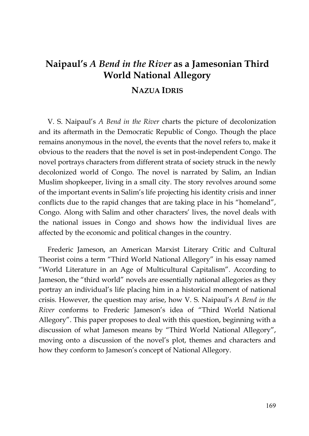# **Naipaul's** *A Bend in the River* **as a Jamesonian Third World National Allegory**

## **NAZUA IDRIS**

V. S. Naipaul's *A Bend in the River* charts the picture of decolonization and its aftermath in the Democratic Republic of Congo. Though the place remains anonymous in the novel, the events that the novel refers to, make it obvious to the readers that the novel is set in post-independent Congo. The novel portrays characters from different strata of society struck in the newly decolonized world of Congo. The novel is narrated by Salim, an Indian Muslim shopkeeper, living in a small city. The story revolves around some of the important events in Salim's life projecting his identity crisis and inner conflicts due to the rapid changes that are taking place in his "homeland", Congo. Along with Salim and other characters' lives, the novel deals with the national issues in Congo and shows how the individual lives are affected by the economic and political changes in the country.

Frederic Jameson, an American Marxist Literary Critic and Cultural Theorist coins a term "Third World National Allegory" in his essay named "World Literature in an Age of Multicultural Capitalism". According to Jameson, the "third world" novels are essentially national allegories as they portray an individual's life placing him in a historical moment of national crisis. However, the question may arise, how V. S. Naipaul's *A Bend in the River* conforms to Frederic Jameson's idea of "Third World National Allegory". This paper proposes to deal with this question, beginning with a discussion of what Jameson means by "Third World National Allegory", moving onto a discussion of the novel's plot, themes and characters and how they conform to Jameson's concept of National Allegory.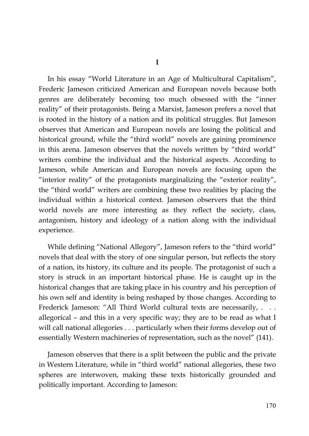In his essay "World Literature in an Age of Multicultural Capitalism", Frederic Jameson criticized American and European novels because both genres are deliberately becoming too much obsessed with the "inner reality" of their protagonists. Being a Marxist, Jameson prefers a novel that is rooted in the history of a nation and its political struggles. But Jameson observes that American and European novels are losing the political and historical ground, while the "third world" novels are gaining prominence in this arena. Jameson observes that the novels written by "third world" writers combine the individual and the historical aspects. According to Jameson, while American and European novels are focusing upon the "interior reality" of the protagonists marginalizing the "exterior reality", the "third world" writers are combining these two realities by placing the individual within a historical context. Jameson observers that the third world novels are more interesting as they reflect the society, class, antagonism, history and ideology of a nation along with the individual experience.

While defining "National Allegory", Jameson refers to the "third world" novels that deal with the story of one singular person, but reflects the story of a nation, its history, its culture and its people. The protagonist of such a story is struck in an important historical phase. He is caught up in the historical changes that are taking place in his country and his perception of his own self and identity is being reshaped by those changes. According to Frederick Jameson: "All Third World cultural texts are necessarily, . . . allegorical – and this in a very specific way; they are to be read as what I will call national allegories . . . particularly when their forms develop out of essentially Western machineries of representation, such as the novel" (141).

Jameson observes that there is a split between the public and the private in Western Literature, while in "third world" national allegories, these two spheres are interwoven, making these texts historically grounded and politically important. According to Jameson: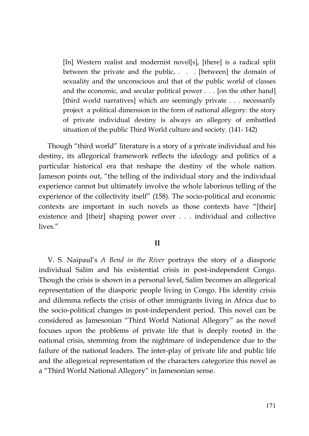[In] Western realist and modernist novel[s], [there] is a radical split between the private and the public, . . . [between] the domain of sexuality and the unconscious and that of the public world of classes and the economic, and secular political power . . . [on the other hand] [third world narratives] which are seemingly private . . . necessarily project a political dimension in the form of national allegory: the story of private individual destiny is always an allegory of embattled situation of the public Third World culture and society. (141- 142)

Though "third world" literature is a story of a private individual and his destiny, its allegorical framework reflects the ideology and politics of a particular historical era that reshape the destiny of the whole nation. Jameson points out, "the telling of the individual story and the individual experience cannot but ultimately involve the whole laborious telling of the experience of the collectivity itself" (158). The socio-political and economic contexts are important in such novels as those contexts have "[their] existence and [their] shaping power over . . . individual and collective lives."

#### **II**

V. S. Naipaul's *A Bend in the River* portrays the story of a diasporic individual Salim and his existential crisis in post-independent Congo. Though the crisis is shown in a personal level, Salim becomes an allegorical representation of the diasporic people living in Congo. His identity crisis and dilemma reflects the crisis of other immigrants living in Africa due to the socio-political changes in post-independent period. This novel can be considered as Jamesonian "Third World National Allegory" as the novel focuses upon the problems of private life that is deeply rooted in the national crisis, stemming from the nightmare of independence due to the failure of the national leaders. The inter-play of private life and public life and the allegorical representation of the characters categorize this novel as a "Third World National Allegory" in Jamesonian sense.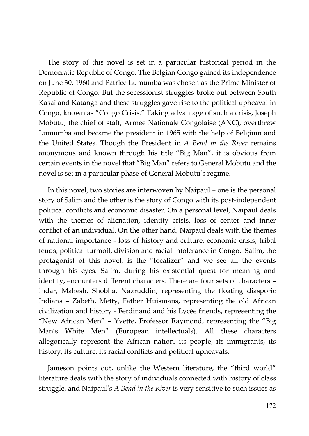The story of this novel is set in a particular historical period in the Democratic Republic of Congo. The Belgian Congo gained its independence on June 30, 1960 and Patrice Lumumba was chosen as the Prime Minister of Republic of Congo. But the secessionist struggles broke out between South Kasai and Katanga and these struggles gave rise to the political upheaval in Congo, known as "Congo Crisis." Taking advantage of such a crisis, Joseph Mobutu, the chief of staff, Armée Nationale Congolaise (ANC), overthrew Lumumba and became the president in 1965 with the help of Belgium and the United States. Though the President in *A Bend in the River* remains anonymous and known through his title "Big Man", it is obvious from certain events in the novel that "Big Man" refers to General Mobutu and the novel is set in a particular phase of General Mobutu's regime.

In this novel, two stories are interwoven by Naipaul – one is the personal story of Salim and the other is the story of Congo with its post-independent political conflicts and economic disaster. On a personal level, Naipaul deals with the themes of alienation, identity crisis, loss of center and inner conflict of an individual. On the other hand, Naipaul deals with the themes of national importance - loss of history and culture, economic crisis, tribal feuds, political turmoil, division and racial intolerance in Congo. Salim, the protagonist of this novel, is the "focalizer" and we see all the events through his eyes. Salim, during his existential quest for meaning and identity, encounters different characters. There are four sets of characters – Indar, Mahesh, Shobha, Nazruddin, representing the floating diasporic Indians – Zabeth, Metty, Father Huismans, representing the old African civilization and history - Ferdinand and his Lycée friends, representing the "New African Men" – Yvette, Professor Raymond, representing the "Big Man's White Men" (European intellectuals). All these characters allegorically represent the African nation, its people, its immigrants, its history, its culture, its racial conflicts and political upheavals.

Jameson points out, unlike the Western literature, the "third world" literature deals with the story of individuals connected with history of class struggle, and Naipaul's *A Bend in the River* is very sensitive to such issues as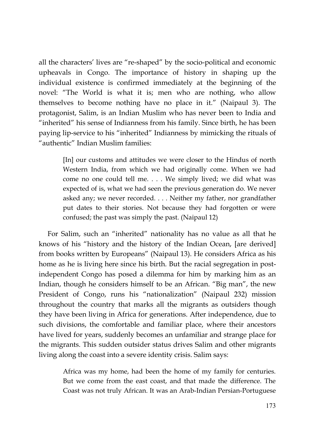all the characters' lives are "re-shaped" by the socio-political and economic upheavals in Congo. The importance of history in shaping up the individual existence is confirmed immediately at the beginning of the novel: "The World is what it is; men who are nothing, who allow themselves to become nothing have no place in it." (Naipaul 3). The protagonist, Salim, is an Indian Muslim who has never been to India and "inherited" his sense of Indianness from his family. Since birth, he has been paying lip-service to his "inherited" Indianness by mimicking the rituals of "authentic" Indian Muslim families:

> [In] our customs and attitudes we were closer to the Hindus of north Western India, from which we had originally come. When we had come no one could tell me. . . . We simply lived; we did what was expected of is, what we had seen the previous generation do. We never asked any; we never recorded. . . . Neither my father, nor grandfather put dates to their stories. Not because they had forgotten or were confused; the past was simply the past. (Naipaul 12)

For Salim, such an "inherited" nationality has no value as all that he knows of his "history and the history of the Indian Ocean, [are derived] from books written by Europeans" (Naipaul 13). He considers Africa as his home as he is living here since his birth. But the racial segregation in postindependent Congo has posed a dilemma for him by marking him as an Indian, though he considers himself to be an African. "Big man", the new President of Congo, runs his "nationalization" (Naipaul 232) mission throughout the country that marks all the migrants as outsiders though they have been living in Africa for generations. After independence, due to such divisions, the comfortable and familiar place, where their ancestors have lived for years, suddenly becomes an unfamiliar and strange place for the migrants. This sudden outsider status drives Salim and other migrants living along the coast into a severe identity crisis. Salim says:

> Africa was my home, had been the home of my family for centuries. But we come from the east coast, and that made the difference. The Coast was not truly African. It was an Arab-Indian Persian-Portuguese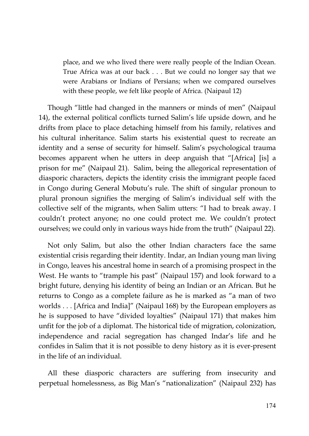place, and we who lived there were really people of the Indian Ocean. True Africa was at our back . . . But we could no longer say that we were Arabians or Indians of Persians; when we compared ourselves with these people, we felt like people of Africa. (Naipaul 12)

Though "little had changed in the manners or minds of men" (Naipaul 14), the external political conflicts turned Salim's life upside down, and he drifts from place to place detaching himself from his family, relatives and his cultural inheritance. Salim starts his existential quest to recreate an identity and a sense of security for himself. Salim's psychological trauma becomes apparent when he utters in deep anguish that "[Africa] [is] a prison for me" (Naipaul 21). Salim, being the allegorical representation of diasporic characters, depicts the identity crisis the immigrant people faced in Congo during General Mobutu's rule. The shift of singular pronoun to plural pronoun signifies the merging of Salim's individual self with the collective self of the migrants, when Salim utters: "I had to break away. I couldn't protect anyone; no one could protect me. We couldn't protect ourselves; we could only in various ways hide from the truth" (Naipaul 22).

Not only Salim, but also the other Indian characters face the same existential crisis regarding their identity. Indar, an Indian young man living in Congo, leaves his ancestral home in search of a promising prospect in the West. He wants to "trample his past" (Naipaul 157) and look forward to a bright future, denying his identity of being an Indian or an African. But he returns to Congo as a complete failure as he is marked as "a man of two worlds . . . [Africa and India]" (Naipaul 168) by the European employers as he is supposed to have "divided loyalties" (Naipaul 171) that makes him unfit for the job of a diplomat. The historical tide of migration, colonization, independence and racial segregation has changed Indar's life and he confides in Salim that it is not possible to deny history as it is ever-present in the life of an individual.

All these diasporic characters are suffering from insecurity and perpetual homelessness, as Big Man's "nationalization" (Naipaul 232) has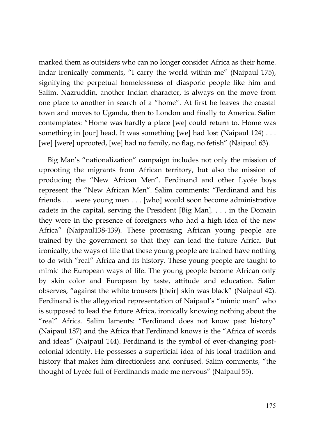marked them as outsiders who can no longer consider Africa as their home. Indar ironically comments, "I carry the world within me" (Naipaul 175), signifying the perpetual homelessness of diasporic people like him and Salim. Nazruddin, another Indian character, is always on the move from one place to another in search of a "home". At first he leaves the coastal town and moves to Uganda, then to London and finally to America. Salim contemplates: "Home was hardly a place [we] could return to. Home was something in [our] head. It was something [we] had lost (Naipaul 124) ... [we] [were] uprooted, [we] had no family, no flag, no fetish" (Naipaul 63).

Big Man's "nationalization" campaign includes not only the mission of uprooting the migrants from African territory, but also the mission of producing the "New African Men". Ferdinand and other Lycée boys represent the "New African Men". Salim comments: "Ferdinand and his friends . . . were young men . . . [who] would soon become administrative cadets in the capital, serving the President [Big Man]. . . . in the Domain they were in the presence of foreigners who had a high idea of the new Africa" (Naipaul138-139). These promising African young people are trained by the government so that they can lead the future Africa. But ironically, the ways of life that these young people are trained have nothing to do with "real" Africa and its history. These young people are taught to mimic the European ways of life. The young people become African only by skin color and European by taste, attitude and education. Salim observes, "against the white trousers [their] skin was black" (Naipaul 42). Ferdinand is the allegorical representation of Naipaul's "mimic man" who is supposed to lead the future Africa, ironically knowing nothing about the "real" Africa. Salim laments: "Ferdinand does not know past history" (Naipaul 187) and the Africa that Ferdinand knows is the "Africa of words and ideas" (Naipaul 144). Ferdinand is the symbol of ever-changing postcolonial identity. He possesses a superficial idea of his local tradition and history that makes him directionless and confused. Salim comments, "the thought of Lycée full of Ferdinands made me nervous" (Naipaul 55).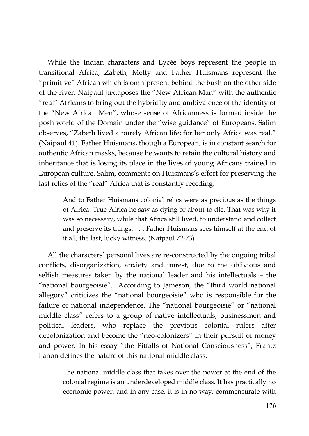While the Indian characters and Lycée boys represent the people in transitional Africa, Zabeth, Metty and Father Huismans represent the "primitive" African which is omnipresent behind the bush on the other side of the river. Naipaul juxtaposes the "New African Man" with the authentic "real" Africans to bring out the hybridity and ambivalence of the identity of the "New African Men", whose sense of Africanness is formed inside the posh world of the Domain under the "wise guidance" of Europeans. Salim observes, "Zabeth lived a purely African life; for her only Africa was real." (Naipaul 41). Father Huismans, though a European, is in constant search for authentic African masks, because he wants to retain the cultural history and inheritance that is losing its place in the lives of young Africans trained in European culture. Salim, comments on Huismans's effort for preserving the last relics of the "real" Africa that is constantly receding:

> And to Father Huismans colonial relics were as precious as the things of Africa. True Africa he saw as dying or about to die. That was why it was so necessary, while that Africa still lived, to understand and collect and preserve its things. . . . Father Huismans sees himself at the end of it all, the last, lucky witness. (Naipaul 72-73)

All the characters' personal lives are re-constructed by the ongoing tribal conflicts, disorganization, anxiety and unrest, due to the oblivious and selfish measures taken by the national leader and his intellectuals – the "national bourgeoisie". According to Jameson, the "third world national allegory" criticizes the "national bourgeoisie" who is responsible for the failure of national independence. The "national bourgeoisie" or "national middle class" refers to a group of native intellectuals, businessmen and political leaders, who replace the previous colonial rulers after decolonization and become the "neo-colonizers" in their pursuit of money and power. In his essay "the Pitfalls of National Consciousness", Frantz Fanon defines the nature of this national middle class:

> The national middle class that takes over the power at the end of the colonial regime is an underdeveloped middle class. It has practically no economic power, and in any case, it is in no way, commensurate with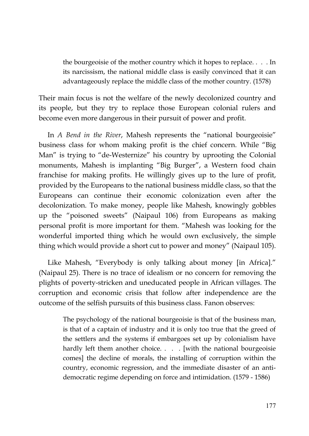the bourgeoisie of the mother country which it hopes to replace. . . . In its narcissism, the national middle class is easily convinced that it can advantageously replace the middle class of the mother country. (1578)

Their main focus is not the welfare of the newly decolonized country and its people, but they try to replace those European colonial rulers and become even more dangerous in their pursuit of power and profit.

In *A Bend in the River*, Mahesh represents the "national bourgeoisie" business class for whom making profit is the chief concern. While "Big Man" is trying to "de-Westernize" his country by uprooting the Colonial monuments, Mahesh is implanting "Big Burger", a Western food chain franchise for making profits. He willingly gives up to the lure of profit, provided by the Europeans to the national business middle class, so that the Europeans can continue their economic colonization even after the decolonization. To make money, people like Mahesh, knowingly gobbles up the "poisoned sweets" (Naipaul 106) from Europeans as making personal profit is more important for them. "Mahesh was looking for the wonderful imported thing which he would own exclusively, the simple thing which would provide a short cut to power and money" (Naipaul 105).

Like Mahesh, "Everybody is only talking about money [in Africa]." (Naipaul 25). There is no trace of idealism or no concern for removing the plights of poverty-stricken and uneducated people in African villages. The corruption and economic crisis that follow after independence are the outcome of the selfish pursuits of this business class. Fanon observes:

> The psychology of the national bourgeoisie is that of the business man, is that of a captain of industry and it is only too true that the greed of the settlers and the systems if embargoes set up by colonialism have hardly left them another choice. . . . [with the national bourgeoisie comes] the decline of morals, the installing of corruption within the country, economic regression, and the immediate disaster of an antidemocratic regime depending on force and intimidation. (1579 - 1586)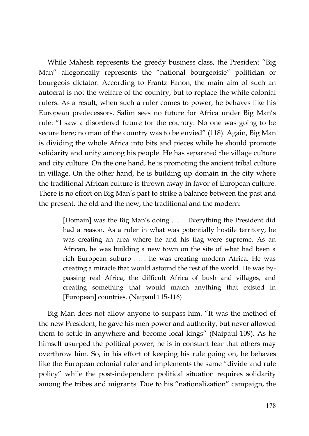While Mahesh represents the greedy business class, the President "Big Man" allegorically represents the "national bourgeoisie" politician or bourgeois dictator. According to Frantz Fanon, the main aim of such an autocrat is not the welfare of the country, but to replace the white colonial rulers. As a result, when such a ruler comes to power, he behaves like his European predecessors. Salim sees no future for Africa under Big Man's rule: "I saw a disordered future for the country. No one was going to be secure here; no man of the country was to be envied" (118). Again, Big Man is dividing the whole Africa into bits and pieces while he should promote solidarity and unity among his people. He has separated the village culture and city culture. On the one hand, he is promoting the ancient tribal culture in village. On the other hand, he is building up domain in the city where the traditional African culture is thrown away in favor of European culture. There is no effort on Big Man's part to strike a balance between the past and the present, the old and the new, the traditional and the modern:

> [Domain] was the Big Man's doing . . . Everything the President did had a reason. As a ruler in what was potentially hostile territory, he was creating an area where he and his flag were supreme. As an African, he was building a new town on the site of what had been a rich European suburb . . . he was creating modern Africa. He was creating a miracle that would astound the rest of the world. He was bypassing real Africa, the difficult Africa of bush and villages, and creating something that would match anything that existed in [European] countries. (Naipaul 115-116)

Big Man does not allow anyone to surpass him. "It was the method of the new President, he gave his men power and authority, but never allowed them to settle in anywhere and become local kings" (Naipaul 109). As he himself usurped the political power, he is in constant fear that others may overthrow him. So, in his effort of keeping his rule going on, he behaves like the European colonial ruler and implements the same "divide and rule policy" while the post-independent political situation requires solidarity among the tribes and migrants. Due to his "nationalization" campaign, the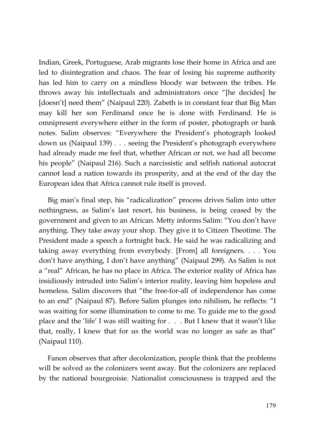Indian, Greek, Portuguese, Arab migrants lose their home in Africa and are led to disintegration and chaos. The fear of losing his supreme authority has led him to carry on a mindless bloody war between the tribes. He throws away his intellectuals and administrators once "[he decides] he [doesn't] need them" (Naipaul 220). Zabeth is in constant fear that Big Man may kill her son Ferdinand once he is done with Ferdinand. He is omnipresent everywhere either in the form of poster, photograph or bank notes. Salim observes: "Everywhere the President's photograph looked down us (Naipaul 139) . . . seeing the President's photograph everywhere had already made me feel that, whether African or not, we had all become his people" (Naipaul 216). Such a narcissistic and selfish national autocrat cannot lead a nation towards its prosperity, and at the end of the day the European idea that Africa cannot rule itself is proved.

Big man's final step, his "radicalization" process drives Salim into utter nothingness, as Salim's last resort, his business, is being ceased by the government and given to an African. Metty informs Salim: "You don't have anything. They take away your shop. They give it to Citizen Theotime. The President made a speech a fortnight back. He said he was radicalizing and taking away everything from everybody. [From] all foreigners. . . . You don't have anything, I don't have anything" (Naipaul 299). As Salim is not a "real" African, he has no place in Africa. The exterior reality of Africa has insidiously intruded into Salim's interior reality, leaving him hopeless and homeless. Salim discovers that "the free-for-all of independence has come to an end" (Naipaul 87). Before Salim plunges into nihilism, he reflects: "I was waiting for some illumination to come to me. To guide me to the good place and the 'life' I was still waiting for . . . But I knew that it wasn't like that, really, I knew that for us the world was no longer as safe as that" (Naipaul 110).

Fanon observes that after decolonization, people think that the problems will be solved as the colonizers went away. But the colonizers are replaced by the national bourgeoisie. Nationalist consciousness is trapped and the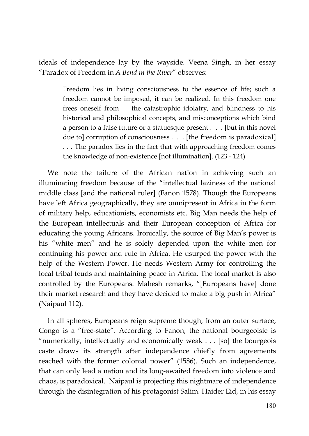ideals of independence lay by the wayside. Veena Singh, in her essay "Paradox of Freedom in *A Bend in the River*" observes:

> Freedom lies in living consciousness to the essence of life; such a freedom cannot be imposed, it can be realized. In this freedom one frees oneself from the catastrophic idolatry, and blindness to his historical and philosophical concepts, and misconceptions which bind a person to a false future or a statuesque present . . . [but in this novel due to] corruption of consciousness . . . [the freedom is paradoxical] . . . The paradox lies in the fact that with approaching freedom comes the knowledge of non-existence [not illumination]. (123 - 124)

We note the failure of the African nation in achieving such an illuminating freedom because of the "intellectual laziness of the national middle class [and the national ruler] (Fanon 1578). Though the Europeans have left Africa geographically, they are omnipresent in Africa in the form of military help, educationists, economists etc. Big Man needs the help of the European intellectuals and their European conception of Africa for educating the young Africans. Ironically, the source of Big Man's power is his "white men" and he is solely depended upon the white men for continuing his power and rule in Africa. He usurped the power with the help of the Western Power. He needs Western Army for controlling the local tribal feuds and maintaining peace in Africa. The local market is also controlled by the Europeans. Mahesh remarks, "[Europeans have] done their market research and they have decided to make a big push in Africa" (Naipaul 112).

In all spheres, Europeans reign supreme though, from an outer surface, Congo is a "free-state". According to Fanon, the national bourgeoisie is "numerically, intellectually and economically weak . . . [so] the bourgeois caste draws its strength after independence chiefly from agreements reached with the former colonial power" (1586). Such an independence, that can only lead a nation and its long-awaited freedom into violence and chaos, is paradoxical. Naipaul is projecting this nightmare of independence through the disintegration of his protagonist Salim. Haider Eid, in his essay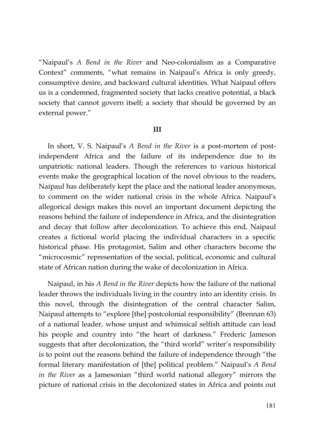"Naipaul's *A Bend in the River* and Neo-colonialism as a Comparative Context" comments, "what remains in Naipaul's Africa is only greedy, consumptive desire, and backward cultural identities. What Naipaul offers us is a condemned, fragmented society that lacks creative potential, a black society that cannot govern itself; a society that should be governed by an external power."

#### **III**

In short, V. S. Naipaul's *A Bend in the River* is a post-mortem of postindependent Africa and the failure of its independence due to its unpatriotic national leaders. Though the references to various historical events make the geographical location of the novel obvious to the readers, Naipaul has deliberately kept the place and the national leader anonymous, to comment on the wider national crisis in the whole Africa. Naipaul's allegorical design makes this novel an important document depicting the reasons behind the failure of independence in Africa, and the disintegration and decay that follow after decolonization. To achieve this end, Naipaul creates a fictional world placing the individual characters in a specific historical phase. His protagonist, Salim and other characters become the "microcosmic" representation of the social, political, economic and cultural state of African nation during the wake of decolonization in Africa.

Naipaul, in his *A Bend in the River* depicts how the failure of the national leader throws the individuals living in the country into an identity crisis. In this novel, through the disintegration of the central character Salim, Naipaul attempts to "explore [the] postcolonial responsibility" (Brennan 63) of a national leader, whose unjust and whimsical selfish attitude can lead his people and country into "the heart of darkness." Frederic Jameson suggests that after decolonization, the "third world" writer's responsibility is to point out the reasons behind the failure of independence through "the formal literary manifestation of [the] political problem." Naipaul's *A Bend in the River* as a Jamesonian "third world national allegory" mirrors the picture of national crisis in the decolonized states in Africa and points out